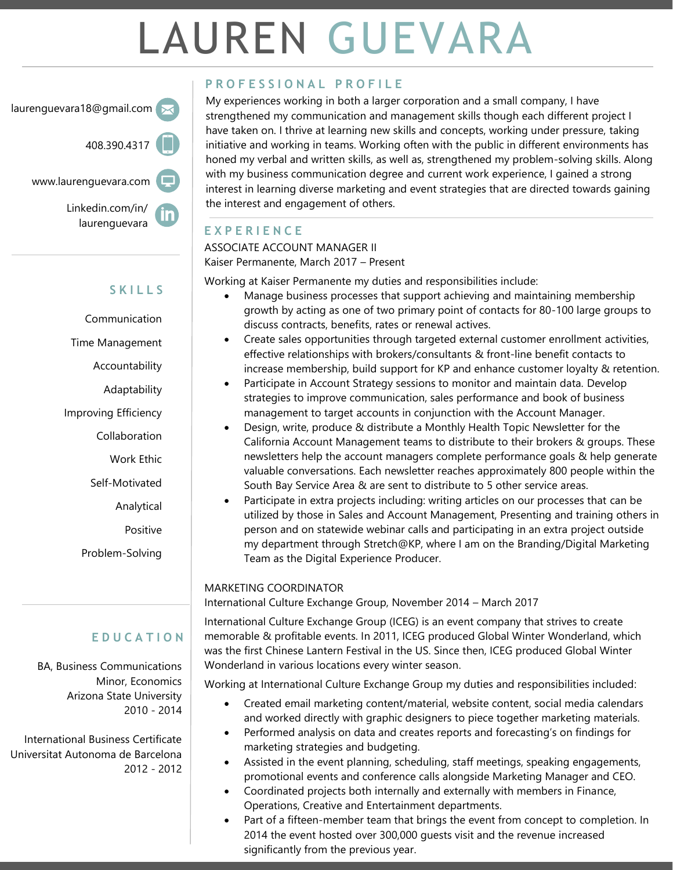# LAUREN GUEVARA

laurenguevara18@gmail.com

408.390.4317

www.laurenguevara.com

Linkedin.com/in/ laurenguevara



# **S K I L L S**

Communication Time Management Accountability Adaptability Improving Efficiency Collaboration Work Ethic Self-Motivated Analytical Positive

Problem-Solving

## **E D U C A T I O N**

BA, Business Communications Minor, Economics Arizona State University 2010 - 2014

International Business Certificate Universitat Autonoma de Barcelona 2012 - 2012

## **P R O F E S S I O N A L P R O F I L E**

My experiences working in both a larger corporation and a small company, I have strengthened my communication and management skills though each different project I have taken on. I thrive at learning new skills and concepts, working under pressure, taking initiative and working in teams. Working often with the public in different environments has honed my verbal and written skills, as well as, strengthened my problem-solving skills. Along with my business communication degree and current work experience, I gained a strong interest in learning diverse marketing and event strategies that are directed towards gaining the interest and engagement of others.

## **E X P E R I E N C E**

ASSOCIATE ACCOUNT MANAGER II

Kaiser Permanente, March 2017 – Present

Working at Kaiser Permanente my duties and responsibilities include:

- Manage business processes that support achieving and maintaining membership growth by acting as one of two primary point of contacts for 80-100 large groups to discuss contracts, benefits, rates or renewal actives.
- Create sales opportunities through targeted external customer enrollment activities, effective relationships with brokers/consultants & front-line benefit contacts to increase membership, build support for KP and enhance customer loyalty & retention.
- Participate in Account Strategy sessions to monitor and maintain data. Develop strategies to improve communication, sales performance and book of business management to target accounts in conjunction with the Account Manager.
- Design, write, produce & distribute a Monthly Health Topic Newsletter for the California Account Management teams to distribute to their brokers & groups. These newsletters help the account managers complete performance goals & help generate valuable conversations. Each newsletter reaches approximately 800 people within the South Bay Service Area & are sent to distribute to 5 other service areas.
- Participate in extra projects including: writing articles on our processes that can be utilized by those in Sales and Account Management, Presenting and training others in person and on statewide webinar calls and participating in an extra project outside my department through Stretch@KP, where I am on the Branding/Digital Marketing Team as the Digital Experience Producer.

### MARKETING COORDINATOR

International Culture Exchange Group, November 2014 – March 2017

International Culture Exchange Group (ICEG) is an event company that strives to create memorable & profitable events. In 2011, ICEG produced Global Winter Wonderland, which was the first Chinese Lantern Festival in the US. Since then, ICEG produced Global Winter Wonderland in various locations every winter season.

Working at International Culture Exchange Group my duties and responsibilities included:

- Created email marketing content/material, website content, social media calendars and worked directly with graphic designers to piece together marketing materials.
- Performed analysis on data and creates reports and forecasting's on findings for marketing strategies and budgeting.
- Assisted in the event planning, scheduling, staff meetings, speaking engagements, promotional events and conference calls alongside Marketing Manager and CEO.
- Coordinated projects both internally and externally with members in Finance, Operations, Creative and Entertainment departments.
- Part of a fifteen-member team that brings the event from concept to completion. In 2014 the event hosted over 300,000 guests visit and the revenue increased significantly from the previous year.